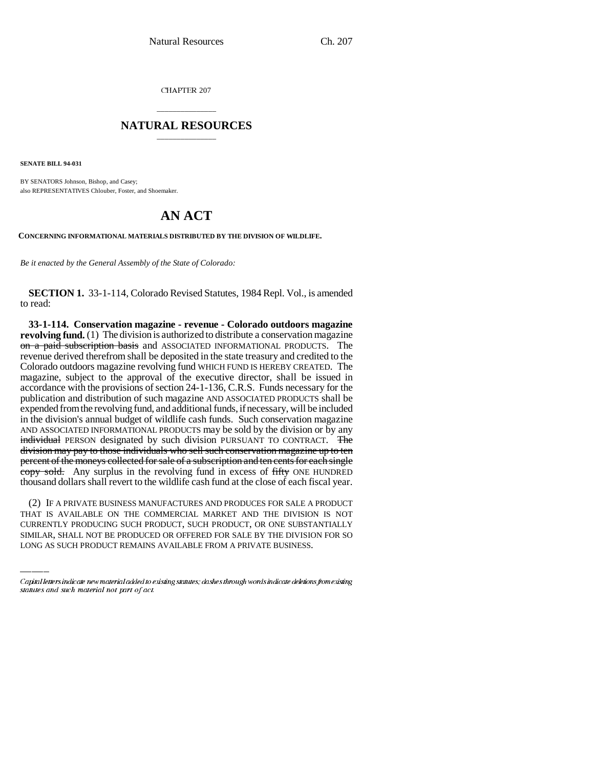CHAPTER 207

## \_\_\_\_\_\_\_\_\_\_\_\_\_\_\_ **NATURAL RESOURCES** \_\_\_\_\_\_\_\_\_\_\_\_\_\_\_

**SENATE BILL 94-031**

BY SENATORS Johnson, Bishop, and Casey; also REPRESENTATIVES Chlouber, Foster, and Shoemaker.

## **AN ACT**

**CONCERNING INFORMATIONAL MATERIALS DISTRIBUTED BY THE DIVISION OF WILDLIFE.**

*Be it enacted by the General Assembly of the State of Colorado:*

**SECTION 1.** 33-1-114, Colorado Revised Statutes, 1984 Repl. Vol., is amended to read:

**33-1-114. Conservation magazine - revenue - Colorado outdoors magazine revolving fund.** (1) The division is authorized to distribute a conservation magazine on a paid subscription basis and ASSOCIATED INFORMATIONAL PRODUCTS. The revenue derived therefrom shall be deposited in the state treasury and credited to the Colorado outdoors magazine revolving fund WHICH FUND IS HEREBY CREATED. The magazine, subject to the approval of the executive director, shall be issued in accordance with the provisions of section 24-1-136, C.R.S. Funds necessary for the publication and distribution of such magazine AND ASSOCIATED PRODUCTS shall be expended from the revolving fund, and additional funds, if necessary, will be included in the division's annual budget of wildlife cash funds. Such conservation magazine AND ASSOCIATED INFORMATIONAL PRODUCTS may be sold by the division or by any individual PERSON designated by such division PURSUANT TO CONTRACT. The division may pay to those individuals who sell such conservation magazine up to ten percent of the moneys collected for sale of a subscription and ten cents for each single copy sold. Any surplus in the revolving fund in excess of fifty ONE HUNDRED thousand dollars shall revert to the wildlife cash fund at the close of each fiscal year.

(2) IF A PRIVATE BUSINESS MANUFACTURES AND PRODUCES FOR SALE A PRODUCT THAT IS AVAILABLE ON THE COMMERCIAL MARKET AND THE DIVISION IS NOT CURRENTLY PRODUCING SUCH PRODUCT, SUCH PRODUCT, OR ONE SUBSTANTIALLY SIMILAR, SHALL NOT BE PRODUCED OR OFFERED FOR SALE BY THE DIVISION FOR SO LONG AS SUCH PRODUCT REMAINS AVAILABLE FROM A PRIVATE BUSINESS.

Capital letters indicate new material added to existing statutes; dashes through words indicate deletions from existing statutes and such material not part of act.